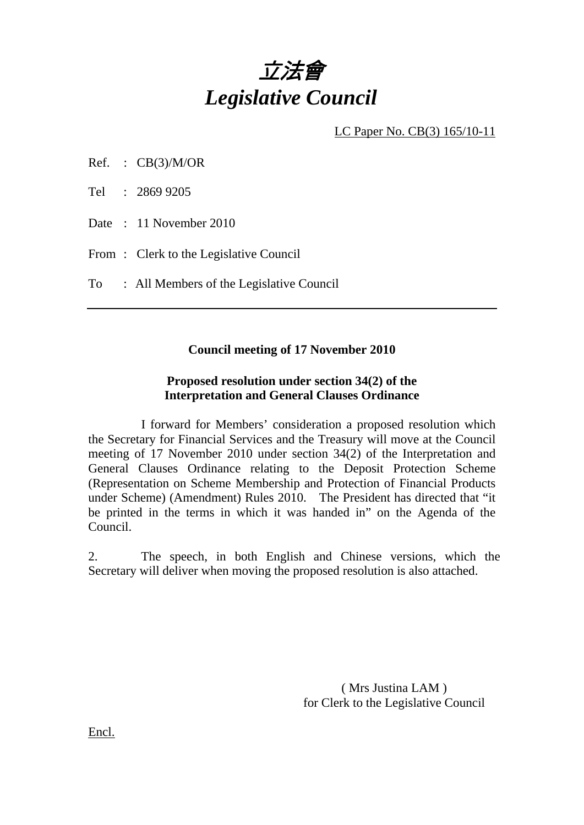

LC Paper No. CB(3) 165/10-11

Ref. :  $CB(3)/M/OR$ 

Tel : 2869 9205

Date : 11 November 2010

From: Clerk to the Legislative Council

To : All Members of the Legislative Council

## **Council meeting of 17 November 2010**

## **Proposed resolution under section 34(2) of the Interpretation and General Clauses Ordinance**

 I forward for Members' consideration a proposed resolution which the Secretary for Financial Services and the Treasury will move at the Council meeting of 17 November 2010 under section 34(2) of the Interpretation and General Clauses Ordinance relating to the Deposit Protection Scheme (Representation on Scheme Membership and Protection of Financial Products under Scheme) (Amendment) Rules 2010. The President has directed that "it be printed in the terms in which it was handed in" on the Agenda of the Council.

2. The speech, in both English and Chinese versions, which the Secretary will deliver when moving the proposed resolution is also attached.

> ( Mrs Justina LAM ) for Clerk to the Legislative Council

Encl.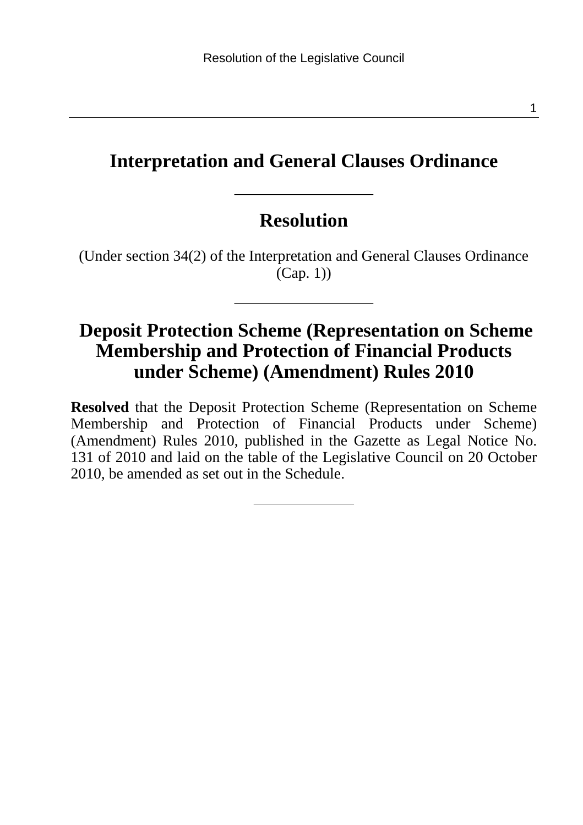## **Interpretation and General Clauses Ordinance**

## **Resolution**

(Under section 34(2) of the Interpretation and General Clauses Ordinance  $(Cap. 1)$ 

## **Deposit Protection Scheme (Representation on Scheme Membership and Protection of Financial Products under Scheme) (Amendment) Rules 2010**

**Resolved** that the Deposit Protection Scheme (Representation on Scheme Membership and Protection of Financial Products under Scheme) (Amendment) Rules 2010, published in the Gazette as Legal Notice No. 131 of 2010 and laid on the table of the Legislative Council on 20 October 2010, be amended as set out in the Schedule.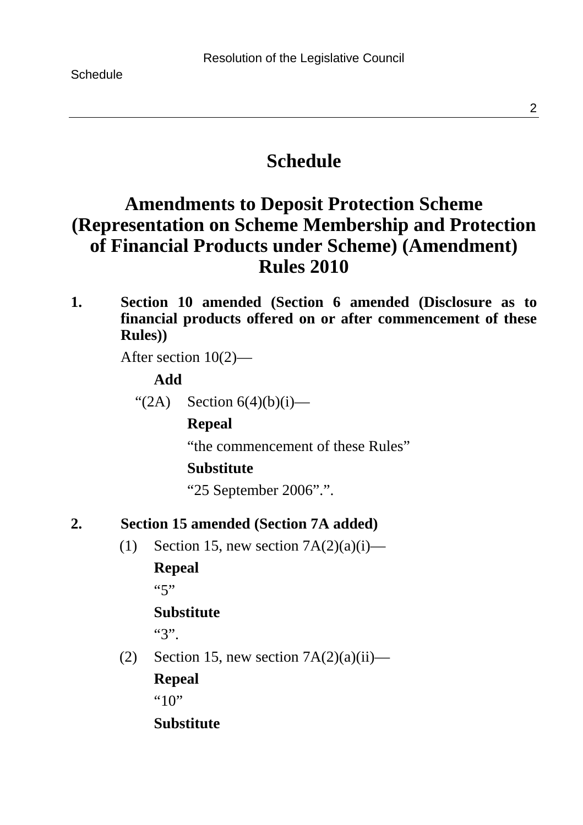## **Schedule**

## **Amendments to Deposit Protection Scheme (Representation on Scheme Membership and Protection of Financial Products under Scheme) (Amendment) Rules 2010**

**1. Section 10 amended (Section 6 amended (Disclosure as to financial products offered on or after commencement of these Rules))** 

After section 10(2)—

#### **Add**

" $(2A)$  Section  $6(4)(b)(i)$ —

### **Repeal**

"the commencement of these Rules"

#### **Substitute**

"25 September 2006".".

**2. Section 15 amended (Section 7A added)** 

(1) Section 15, new section  $7A(2)(a)(i)$ —

### **Repeal**

 $(5, 7)$ 

### **Substitute**

"3".

(2) Section 15, new section  $7A(2)(a)(ii)$ —

## **Repeal**

 $"10"$ 

## **Substitute**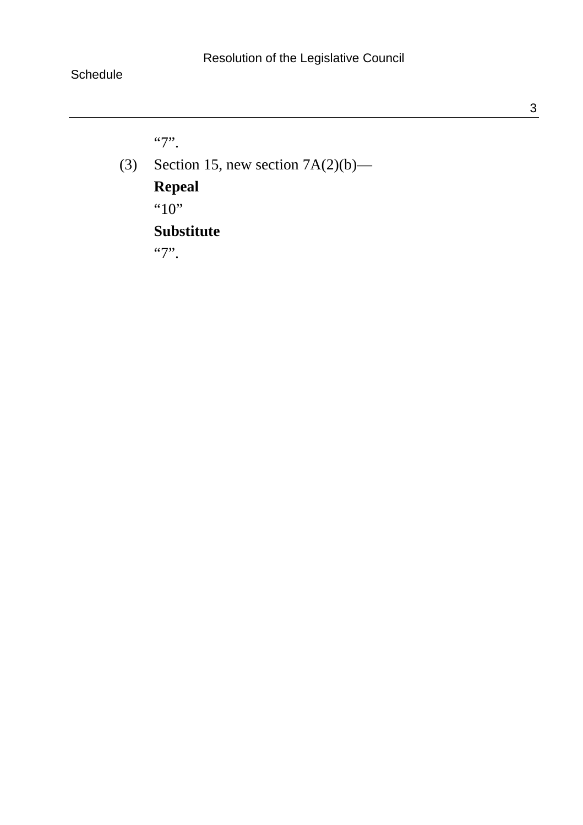"7".

(3) Section 15, new section  $7A(2)(b)$ — **Repeal**  "10"

## **Substitute**

"7".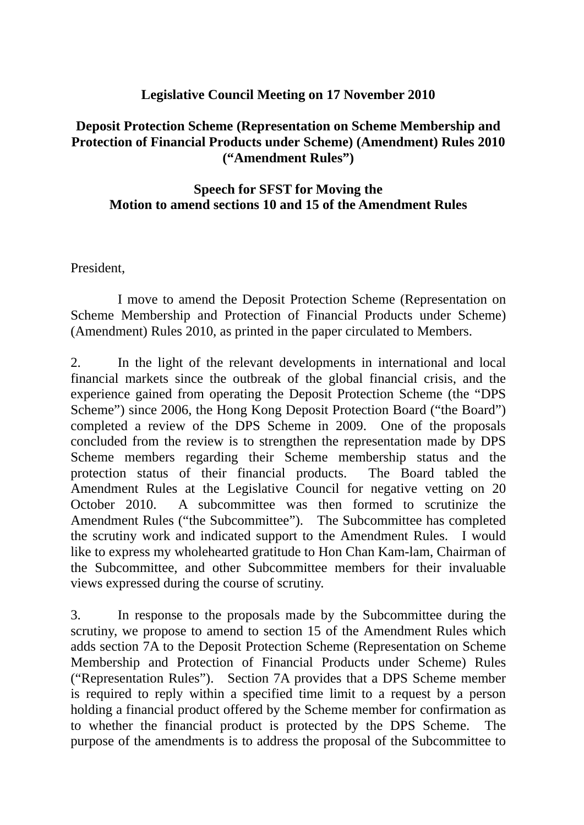# **Legislative Council Meeting on 17 November 2010**

# **Deposit Protection Scheme (Representation on Scheme Membership and Protection of Financial Products under Scheme) (Amendment) Rules 2010 ("Amendment Rules")**

# **Speech for SFST for Moving the Motion to amend sections 10 and 15 of the Amendment Rules**

President,

 I move to amend the Deposit Protection Scheme (Representation on Scheme Membership and Protection of Financial Products under Scheme) (Amendment) Rules 2010, as printed in the paper circulated to Members.

2. In the light of the relevant developments in international and local financial markets since the outbreak of the global financial crisis, and the experience gained from operating the Deposit Protection Scheme (the "DPS Scheme") since 2006, the Hong Kong Deposit Protection Board ("the Board") completed a review of the DPS Scheme in 2009. One of the proposals concluded from the review is to strengthen the representation made by DPS Scheme members regarding their Scheme membership status and the protection status of their financial products. The Board tabled the Amendment Rules at the Legislative Council for negative vetting on 20 October 2010. A subcommittee was then formed to scrutinize the Amendment Rules ("the Subcommittee"). The Subcommittee has completed the scrutiny work and indicated support to the Amendment Rules. I would like to express my wholehearted gratitude to Hon Chan Kam-lam, Chairman of the Subcommittee, and other Subcommittee members for their invaluable views expressed during the course of scrutiny.

3. In response to the proposals made by the Subcommittee during the scrutiny, we propose to amend to section 15 of the Amendment Rules which adds section 7A to the Deposit Protection Scheme (Representation on Scheme Membership and Protection of Financial Products under Scheme) Rules ("Representation Rules"). Section 7A provides that a DPS Scheme member is required to reply within a specified time limit to a request by a person holding a financial product offered by the Scheme member for confirmation as to whether the financial product is protected by the DPS Scheme. The purpose of the amendments is to address the proposal of the Subcommittee to